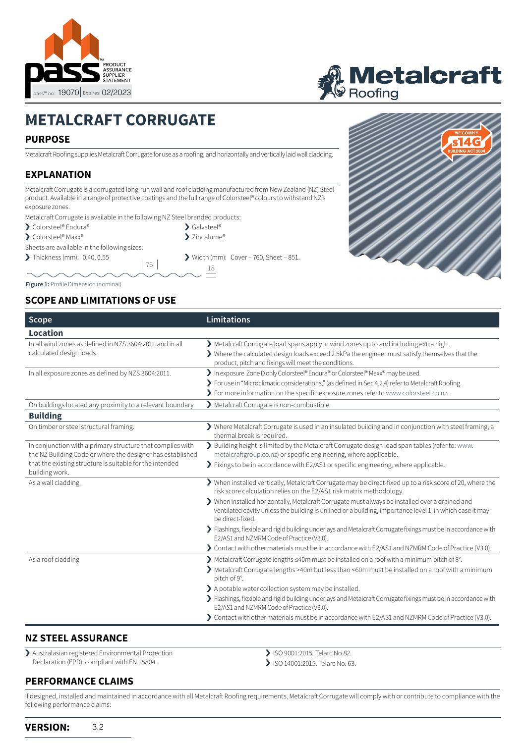



# **METALCRAFT CORRUGATE**

## **PURPOSE**

Metalcraft Roofing supplies Metalcraft Corrugate for use as a roofing, and horizontally and vertically laid wall cladding.

## **EXPLANATION**

Metalcraft Corrugate is a corrugated long-run wall and roof cladding manufactured from New Zealand (NZ) Steel product. Available in a range of protective coatings and the full range of Colorsteel® colours to withstand NZ's exposure zones.

Metalcraft Corrugate is available in the following NZ Steel branded products:

- ▶ Colorsteel® Endura®
- > Colorsteel® Maxx®

Sheets are available in the following sizes:

 $\triangleright$  Thickness (mm): 0.40, 0.55  $\triangleright$  Width (mm): Cover – 760, Sheet – 851.

<sup>18</sup> <sup>76</sup>

▶ Galvsteel® > Zincalume®.

#### **Figure 1:** Profile Dimension (nominal)

### **SCOPE AND LIMITATIONS OF USE**

| Scope                                                                                                                                                                                                  | <b>Limitations</b>                                                                                                                                                                                                                                                             |
|--------------------------------------------------------------------------------------------------------------------------------------------------------------------------------------------------------|--------------------------------------------------------------------------------------------------------------------------------------------------------------------------------------------------------------------------------------------------------------------------------|
| Location                                                                                                                                                                                               |                                                                                                                                                                                                                                                                                |
| In all wind zones as defined in NZS 3604:2011 and in all<br>calculated design loads.                                                                                                                   | > Metalcraft Corrugate load spans apply in wind zones up to and including extra high.<br>> Where the calculated design loads exceed 2.5kPa the engineer must satisfy themselves that the<br>product, pitch and fixings will meet the conditions.                               |
| In all exposure zones as defined by NZS 3604:2011.                                                                                                                                                     | > In exposure Zone D only Colorsteel® Endura® or Colorsteel® Maxx® may be used.<br>> For use in "Microclimatic considerations," (as defined in Sec 4.2.4) refer to Metalcraft Roofing.<br>> For more information on the specific exposure zones refer to www.colorsteel.co.nz. |
| On buildings located any proximity to a relevant boundary.                                                                                                                                             | Metalcraft Corrugate is non-combustible.                                                                                                                                                                                                                                       |
| <b>Building</b>                                                                                                                                                                                        |                                                                                                                                                                                                                                                                                |
| On timber or steel structural framing.                                                                                                                                                                 | > Where Metalcraft Corrugate is used in an insulated building and in conjunction with steel framing, a<br>thermal break is required.                                                                                                                                           |
| In conjunction with a primary structure that complies with<br>the NZ Building Code or where the designer has established<br>that the existing structure is suitable for the intended<br>building work. | > Building height is limited by the Metalcraft Corrugate design load span tables (refer to: www.<br>metalcraftgroup.co.nz) or specific engineering, where applicable.<br>> Fixings to be in accordance with E2/AS1 or specific engineering, where applicable.                  |
| As a wall cladding.                                                                                                                                                                                    | > When installed vertically, Metalcraft Corrugate may be direct-fixed up to a risk score of 20, where the<br>risk score calculation relies on the E2/AS1 risk matrix methodology.                                                                                              |
|                                                                                                                                                                                                        | > When installed horizontally, Metalcraft Corrugate must always be installed over a drained and<br>ventilated cavity unless the building is unlined or a building, importance level 1, in which case it may<br>be direct-fixed.                                                |
|                                                                                                                                                                                                        | > Flashings, flexible and rigid building underlays and Metalcraft Corrugate fixings must be in accordance with<br>E2/AS1 and NZMRM Code of Practice (V3.0).                                                                                                                    |
|                                                                                                                                                                                                        | > Contact with other materials must be in accordance with E2/AS1 and NZMRM Code of Practice (V3.0).                                                                                                                                                                            |
| As a roof cladding                                                                                                                                                                                     | ▶ Metalcraft Corrugate lengths ≤40m must be installed on a roof with a minimum pitch of 8°.<br>> Metalcraft Corrugate lengths >40m but less than <60m must be installed on a roof with a minimum<br>pitch of 9°.                                                               |
|                                                                                                                                                                                                        | > A potable water collection system may be installed.<br>> Flashings, flexible and rigid building underlays and Metalcraft Corrugate fixings must be in accordance with<br>E2/AS1 and NZMRM Code of Practice (V3.0).                                                           |
|                                                                                                                                                                                                        | > Contact with other materials must be in accordance with E2/AS1 and NZMRM Code of Practice (V3.0).                                                                                                                                                                            |

#### **NZ STEEL ASSURANCE**

› Australasian registered Environmental Protection Declaration (EPD); compliant with EN 15804.

### **PERFORMANCE CLAIMS**

- > ISO 9001:2015. Telarc No.82.
- > ISO 14001:2015. Telarc No. 63.

If designed, installed and maintained in accordance with all Metalcraft Roofing requirements, Metalcraft Corrugate will comply with or contribute to compliance with the following performance claims: